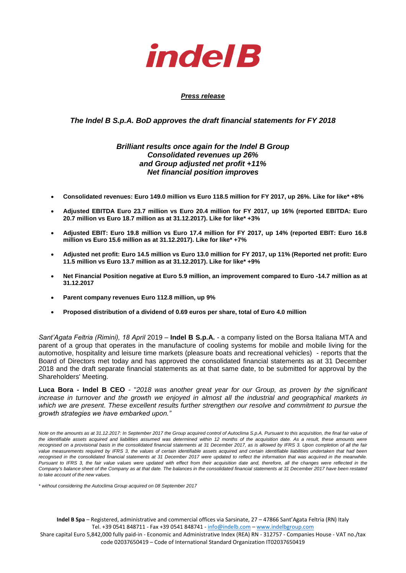

### *Press release*

### *The Indel B S.p.A. BoD approves the draft financial statements for FY 2018*

# *Brilliant results once again for the Indel B Group Consolidated revenues up 26% and Group adjusted net profit +11% Net financial position improves*

- **Consolidated revenues: Euro 149.0 million vs Euro 118.5 million for FY 2017, up 26%. Like for like\* +8%**
- **Adjusted EBITDA Euro 23.7 million vs Euro 20.4 million for FY 2017, up 16% (reported EBITDA: Euro 20.7 million vs Euro 18.7 million as at 31.12.2017). Like for like\* +3%**
- **Adjusted EBIT: Euro 19.8 million vs Euro 17.4 million for FY 2017, up 14% (reported EBIT: Euro 16.8 million vs Euro 15.6 million as at 31.12.2017). Like for like\* +7%**
- **Adjusted net profit: Euro 14.5 million vs Euro 13.0 million for FY 2017, up 11% (Reported net profit: Euro 11.5 million vs Euro 13.7 million as at 31.12.2017). Like for like\* +9%**
- **Net Financial Position negative at Euro 5.9 million, an improvement compared to Euro -14.7 million as at 31.12.2017**
- **Parent company revenues Euro 112.8 million, up 9%**
- **Proposed distribution of a dividend of 0.69 euros per share, total of Euro 4.0 million**

*Sant'Agata Feltria (Rimini), 18 April* 2019 – **Indel B S.p.A.** - a company listed on the Borsa Italiana MTA and parent of a group that operates in the manufacture of cooling systems for mobile and mobile living for the automotive, hospitality and leisure time markets (pleasure boats and recreational vehicles) - reports that the Board of Directors met today and has approved the consolidated financial statements as at 31 December 2018 and the draft separate financial statements as at that same date, to be submitted for approval by the Shareholders' Meeting.

**Luca Bora - Indel B CEO** - "*2018 was another great year for our Group, as proven by the significant increase in turnover and the growth we enjoyed in almost all the industrial and geographical markets in which we are present. These excellent results further strengthen our resolve and commitment to pursue the growth strategies we have embarked upon."*

*Note on the amounts as at 31.12.2017: In September 2017 the Group acquired control of Autoclima S.p.A. Pursuant to this acquisition, the final fair value of*  the identifiable assets acquired and liabilities assumed was determined within 12 months of the acquisition date. As a result, these amounts were *recognised on a provisional basis in the consolidated financial statements at 31 December 2017, as is allowed by IFRS 3. Upon completion of all the fair*  value measurements required by IFRS 3, the values of certain identifiable assets acquired and certain identifiable liabilities undertaken that had been *recognised in the consolidated financial statements at 31 December 2017 were updated to reflect the information that was acquired in the meanwhile. Pursuant to IFRS 3, the fair value values were updated with effect from their acquisition date and, therefore, all the changes were reflected in the Company's balance sheet of the Company as at that date. The balances in the consolidated financial statements at 31 December 2017 have been restated to take account of the new values.*

*\* without considering the Autoclima Group acquired on 08 September 2017*

**Indel B Spa** – Registered, administrative and commercial offices via Sarsinate, 27 – 47866 Sant'Agata Feltria (RN) Italy Tel. +39 0541 848711 - Fax +39 0541 848741 - [info@indelb.com](mailto:info@indelb.com) – [www.indelbgroup.com](http://www.indelbgroup.com/) Share capital Euro 5,842,000 fully paid-in - Economic and Administrative Index (REA) RN - 312757 - Companies House - VAT no./tax code 02037650419 – Code of International Standard Organization IT02037650419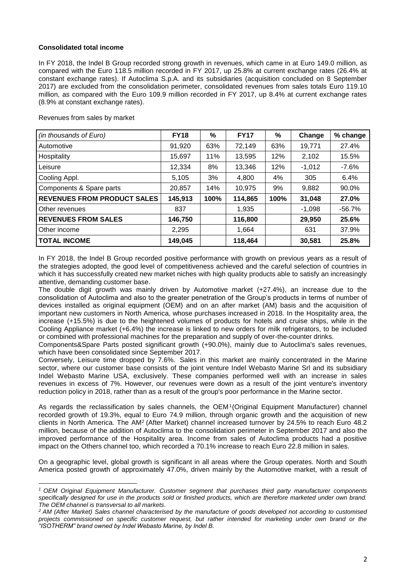### **Consolidated total income**

In FY 2018, the Indel B Group recorded strong growth in revenues, which came in at Euro 149.0 million, as compared with the Euro 118.5 million recorded in FY 2017, up 25.8% at current exchange rates (26.4% at constant exchange rates). If Autoclima S.p.A. and its subsidiaries (acquisition concluded on 8 September 2017) are excluded from the consolidation perimeter, consolidated revenues from sales totals Euro 119.10 million, as compared with the Euro 109.9 million recorded in FY 2017, up 8.4% at current exchange rates (8.9% at constant exchange rates).

| Revenues from sales by market |  |
|-------------------------------|--|
|-------------------------------|--|

**.** 

| (in thousands of Euro)             | <b>FY18</b> | %    | <b>FY17</b> | %    | Change   | % change  |
|------------------------------------|-------------|------|-------------|------|----------|-----------|
| Automotive                         | 91,920      | 63%  | 72,149      | 63%  | 19,771   | 27.4%     |
| Hospitality                        | 15,697      | 11%  | 13,595      | 12%  | 2,102    | 15.5%     |
| Leisure                            | 12,334      | 8%   | 13,346      | 12%  | $-1,012$ | $-7.6%$   |
| Cooling Appl.                      | 5,105       | 3%   | 4,800       | 4%   | 305      | 6.4%      |
| Components & Spare parts           | 20,857      | 14%  | 10,975      | 9%   | 9,882    | 90.0%     |
| <b>REVENUES FROM PRODUCT SALES</b> | 145,913     | 100% | 114,865     | 100% | 31,048   | 27.0%     |
| Other revenues                     | 837         |      | 1,935       |      | $-1,098$ | $-56.7\%$ |
| <b>REVENUES FROM SALES</b>         | 146,750     |      | 116,800     |      | 29,950   | 25.6%     |
| Other income                       | 2,295       |      | 1,664       |      | 631      | 37.9%     |
| <b>TOTAL INCOME</b>                | 149,045     |      | 118,464     |      | 30,581   | 25.8%     |

In FY 2018, the Indel B Group recorded positive performance with growth on previous years as a result of the strategies adopted, the good level of competitiveness achieved and the careful selection of countries in which it has successfully created new market niches with high quality products able to satisfy an increasingly attentive, demanding customer base.

The double digit growth was mainly driven by Automotive market (+27.4%), an increase due to the consolidation of Autoclima and also to the greater penetration of the Group's products in terms of number of devices installed as original equipment (OEM) and on an after market (AM) basis and the acquisition of important new customers in North America, whose purchases increased in 2018. In the Hospitality area, the increase (+15.5%) is due to the heightened volumes of products for hotels and cruise ships, while in the Cooling Appliance market (+6.4%) the increase is linked to new orders for milk refrigerators, to be included or combined with professional machines for the preparation and supply of over-the-counter drinks.

Components&Spare Parts posted significant growth (+90.0%), mainly due to Autoclima's sales revenues, which have been consolidated since September 2017.

Conversely, Leisure time dropped by 7.6%. Sales in this market are mainly concentrated in the Marine sector, where our customer base consists of the joint venture Indel Webasto Marine Srl and its subsidiary Indel Webasto Marine USA, exclusively. These companies performed well with an increase in sales revenues in excess of 7%. However, our revenues were down as a result of the joint venture's inventory reduction policy in 2018, rather than as a result of the group's poor performance in the Marine sector.

As regards the reclassification by sales channels, the OEM<sup>1</sup>(Original Equipment Manufacturer) channel recorded growth of 19.3%, equal to Euro 74.9 million, through organic growth and the acquisition of new clients in North America. The AM<sup>2</sup> (After Market) channel increased turnover by 24.5% to reach Euro 48.2 million, because of the addition of Autoclima to the consolidation perimeter in September 2017 and also the improved performance of the Hospitality area. Income from sales of Autoclima products had a positive impact on the Others channel too, which recorded a 70.1% increase to reach Euro 22.8 million in sales.

On a geographic level, global growth is significant in all areas where the Group operates. North and South America posted growth of approximately 47.0%, driven mainly by the Automotive market, with a result of

*<sup>1</sup> OEM Original Equipment Manufacturer. Customer segment that purchases third party manufacturer components*  specifically designed for use in the products sold or finished products, which are therefore marketed under own brand. *The OEM channel is transversal to all markets.*

*<sup>2</sup> AM (After Market) Sales channel characterised by the manufacture of goods developed not according to customised projects commissioned on specific customer request, but rather intended for marketing under own brand or the "ISOTHERM" brand owned by Indel Webasto Marine, by Indel B.*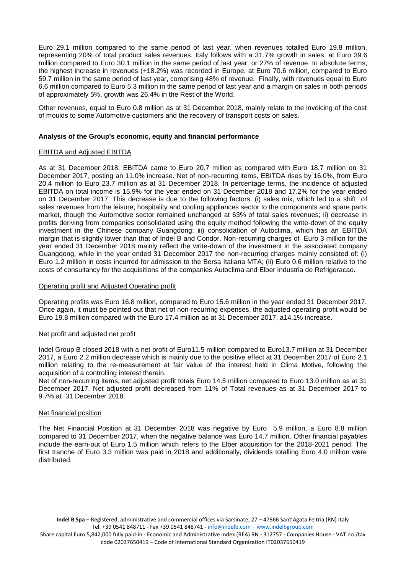Euro 29.1 million compared to the same period of last year, when revenues totalled Euro 19.8 million, representing 20% of total product sales revenues. Italy follows with a 31.7% growth in sales, at Euro 39.6 million compared to Euro 30.1 million in the same period of last year, or 27% of revenue. In absolute terms, the highest increase in revenues (+18.2%) was recorded in Europe, at Euro 70.6 million, compared to Euro 59.7 million in the same period of last year, comprising 48% of revenue. Finally, with revenues equal to Euro 6.6 million compared to Euro 5.3 million in the same period of last year and a margin on sales in both periods of approximately 5%, growth was 26.4% in the Rest of the World.

Other revenues, equal to Euro 0.8 million as at 31 December 2018, mainly relate to the invoicing of the cost of moulds to some Automotive customers and the recovery of transport costs on sales.

### **Analysis of the Group's economic, equity and financial performance**

#### EBITDA and Adjusted EBITDA

As at 31 December 2018, EBITDA came to Euro 20.7 million as compared with Euro 18.7 million on 31 December 2017, posting an 11.0% increase. Net of non-recurring items, EBITDA rises by 16.0%, from Euro 20.4 million to Euro 23.7 million as at 31 December 2018. In percentage terms, the incidence of adjusted EBITDA on total income is 15.9% for the year ended on 31 December 2018 and 17.2% for the year ended on 31 December 2017. This decrease is due to the following factors: (i) sales mix, which led to a shift of sales revenues from the leisure, hospitality and cooling appliances sector to the components and spare parts market, though the Automotive sector remained unchanged at 63% of total sales revenues; ii) decrease in profits deriving from companies consolidated using the equity method following the write-down of the equity investment in the Chinese company Guangdong; iii) consolidation of Autoclima, which has an EBITDA margin that is slightly lower than that of Indel B and Condor. Non-recurring charges of Euro 3 million for the year ended 31 December 2018 mainly reflect the write-down of the investment in the associated company Guangdong, while in the year ended 31 December 2017 the non-recurring charges mainly consisted of: (i) Euro 1.2 million in costs incurred for admission to the Borsa Italiana MTA; (ii) Euro 0.6 million relative to the costs of consultancy for the acquisitions of the companies Autoclima and Elber Industria de Refrigeracao.

#### Operating profit and Adjusted Operating profit

Operating profits was Euro 16.8 million, compared to Euro 15.6 million in the year ended 31 December 2017. Once again, it must be pointed out that net of non-recurring expenses, the adjusted operating profit would be Euro 19.8 million compared with the Euro 17.4 million as at 31 December 2017, a14.1% increase.

#### Net profit and adjusted net profit

Indel Group B closed 2018 with a net profit of Euro11.5 million compared to Euro13.7 million at 31 December 2017, a Euro 2.2 million decrease which is mainly due to the positive effect at 31 December 2017 of Euro 2.1 million relating to the re-measurement at fair value of the interest held in Clima Motive, following the acquisition of a controlling interest therein.

Net of non-recurring items, net adjusted profit totals Euro 14.5 million compared to Euro 13.0 million as at 31 December 2017. Net adjusted profit decreased from 11% of Total revenues as at 31 December 2017 to 9.7% at 31 December 2018.

#### Net financial position

The Net Financial Position at 31 December 2018 was negative by Euro 5.9 million, a Euro 8.8 million compared to 31 December 2017, when the negative balance was Euro 14.7 million. Other financial payables include the earn-out of Euro 1.5 million which refers to the Elber acquisition for the 2018-2021 period. The first tranche of Euro 3.3 million was paid in 2018 and additionally, dividends totalling Euro 4.0 million were distributed.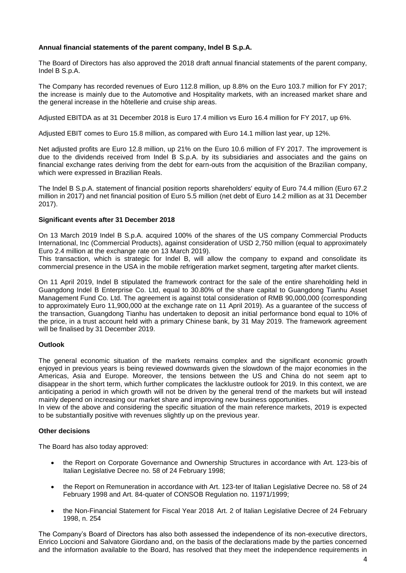## **Annual financial statements of the parent company, Indel B S.p.A.**

The Board of Directors has also approved the 2018 draft annual financial statements of the parent company, Indel B S.p.A.

The Company has recorded revenues of Euro 112.8 million, up 8.8% on the Euro 103.7 million for FY 2017; the increase is mainly due to the Automotive and Hospitality markets, with an increased market share and the general increase in the hôtellerie and cruise ship areas.

Adjusted EBITDA as at 31 December 2018 is Euro 17.4 million vs Euro 16.4 million for FY 2017, up 6%.

Adjusted EBIT comes to Euro 15.8 million, as compared with Euro 14.1 million last year, up 12%.

Net adjusted profits are Euro 12.8 million, up 21% on the Euro 10.6 million of FY 2017. The improvement is due to the dividends received from Indel B S.p.A. by its subsidiaries and associates and the gains on financial exchange rates deriving from the debt for earn-outs from the acquisition of the Brazilian company, which were expressed in Brazilian Reals.

The Indel B S.p.A. statement of financial position reports shareholders' equity of Euro 74.4 million (Euro 67.2 million in 2017) and net financial position of Euro 5.5 million (net debt of Euro 14.2 million as at 31 December 2017).

### **Significant events after 31 December 2018**

On 13 March 2019 Indel B S.p.A. acquired 100% of the shares of the US company Commercial Products International, Inc (Commercial Products), against consideration of USD 2,750 million (equal to approximately Euro 2.4 million at the exchange rate on 13 March 2019).

This transaction, which is strategic for Indel B, will allow the company to expand and consolidate its commercial presence in the USA in the mobile refrigeration market segment, targeting after market clients.

On 11 April 2019, Indel B stipulated the framework contract for the sale of the entire shareholding held in Guangdong Indel B Enterprise Co. Ltd, equal to 30.80% of the share capital to Guangdong Tianhu Asset Management Fund Co. Ltd. The agreement is against total consideration of RMB 90,000,000 (corresponding to approximately Euro 11,900,000 at the exchange rate on 11 April 2019). As a guarantee of the success of the transaction, Guangdong Tianhu has undertaken to deposit an initial performance bond equal to 10% of the price, in a trust account held with a primary Chinese bank, by 31 May 2019. The framework agreement will be finalised by 31 December 2019.

### **Outlook**

The general economic situation of the markets remains complex and the significant economic growth enjoyed in previous years is being reviewed downwards given the slowdown of the major economies in the Americas, Asia and Europe. Moreover, the tensions between the US and China do not seem apt to disappear in the short term, which further complicates the lacklustre outlook for 2019. In this context, we are anticipating a period in which growth will not be driven by the general trend of the markets but will instead mainly depend on increasing our market share and improving new business opportunities.

In view of the above and considering the specific situation of the main reference markets, 2019 is expected to be substantially positive with revenues slightly up on the previous year.

## **Other decisions**

The Board has also today approved:

- the Report on Corporate Governance and Ownership Structures in accordance with Art. 123-bis of Italian Legislative Decree no. 58 of 24 February 1998;
- the Report on Remuneration in accordance with Art. 123-ter of Italian Legislative Decree no. 58 of 24 February 1998 and Art. 84-quater of CONSOB Regulation no. 11971/1999;
- the Non-Financial Statement for Fiscal Year 2018 Art. 2 of Italian Legislative Decree of 24 February 1998, n. 254

The Company's Board of Directors has also both assessed the independence of its non-executive directors, Enrico Loccioni and Salvatore Giordano and, on the basis of the declarations made by the parties concerned and the information available to the Board, has resolved that they meet the independence requirements in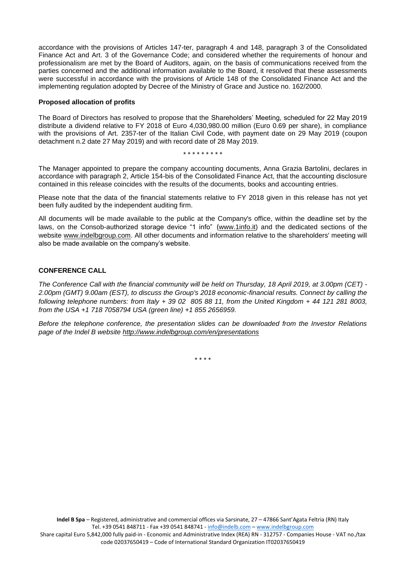accordance with the provisions of Articles 147-ter, paragraph 4 and 148, paragraph 3 of the Consolidated Finance Act and Art. 3 of the Governance Code; and considered whether the requirements of honour and professionalism are met by the Board of Auditors, again, on the basis of communications received from the parties concerned and the additional information available to the Board, it resolved that these assessments were successful in accordance with the provisions of Article 148 of the Consolidated Finance Act and the implementing regulation adopted by Decree of the Ministry of Grace and Justice no. 162/2000.

#### **Proposed allocation of profits**

The Board of Directors has resolved to propose that the Shareholders' Meeting, scheduled for 22 May 2019 distribute a dividend relative to FY 2018 of Euro 4,030,980.00 million (Euro 0.69 per share), in compliance with the provisions of Art. 2357-ter of the Italian Civil Code, with payment date on 29 May 2019 (coupon detachment n.2 date 27 May 2019) and with record date of 28 May 2019.

\* \* \* \* \* \* \* \* \*

The Manager appointed to prepare the company accounting documents, Anna Grazia Bartolini, declares in accordance with paragraph 2, Article 154-bis of the Consolidated Finance Act, that the accounting disclosure contained in this release coincides with the results of the documents, books and accounting entries.

Please note that the data of the financial statements relative to FY 2018 given in this release has not yet been fully audited by the independent auditing firm.

All documents will be made available to the public at the Company's office, within the deadline set by the laws, on the Consob-authorized storage device "1 info" ([www.1info.it\)](http://www.1info.it/) and the dedicated sections of the website [www.indelbgroup.com.](file:///C:/Users/User/Dropbox/Polytems/DOCUMENTI%20BIANCA/CLIENTI%20ATTIVI/INDEL%20B/COMUNICATI%20STAMPA/2019/FY%202018/www.indelbgroup.com) All other documents and information relative to the shareholders' meeting will also be made available on the company's website.

### **CONFERENCE CALL**

*The Conference Call with the financial community will be held on Thursday, 18 April 2019, at 3.00pm (CET) - 2.00pm (GMT) 9.00am (EST), to discuss the Group's 2018 economic-financial results. Connect by calling the following telephone numbers: from Italy + 39 02 805 88 11, from the United Kingdom + 44 121 281 8003, from the USA +1 718 7058794 USA (green line) +1 855 2656959.*

*Before the telephone conference, the presentation slides can be downloaded from the Investor Relations page of the Indel B website [http://www.indelbgroup.com/en/presentations](http://www.indelbgroup.com/en/en/presentations)*

\* \* \* \*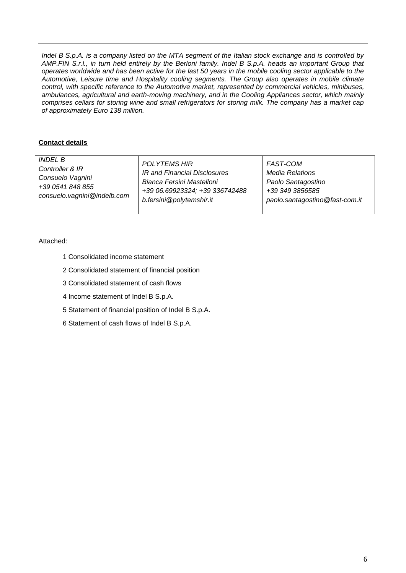*Indel B S.p.A. is a company listed on the MTA segment of the Italian stock exchange and is controlled by AMP.FIN S.r.l., in turn held entirely by the Berloni family. Indel B S.p.A. heads an important Group that operates worldwide and has been active for the last 50 years in the mobile cooling sector applicable to the Automotive, Leisure time and Hospitality cooling segments. The Group also operates in mobile climate control, with specific reference to the Automotive market, represented by commercial vehicles, minibuses, ambulances, agricultural and earth-moving machinery, and in the Cooling Appliances sector, which mainly comprises cellars for storing wine and small refrigerators for storing milk. The company has a market cap of approximately Euro 138 million.*

# **Contact details**

| <b>INDEL B</b>              | <b>POLYTEMS HIR</b>            | FAST-COM                       |
|-----------------------------|--------------------------------|--------------------------------|
| Controller & IR             | IR and Financial Disclosures   | Media Relations                |
| Consuelo Vagnini            | Bianca Fersini Mastelloni      | Paolo Santagostino             |
| +39 0541 848 855            | +39 06.69923324; +39 336742488 | +39 349 3856585                |
| consuelo.vagnini@indelb.com | b.fersini@polytemshir.it       | paolo.santagostino@fast-com.it |
|                             |                                |                                |

# Attached:

- 1 Consolidated income statement
- 2 Consolidated statement of financial position
- 3 Consolidated statement of cash flows
- 4 Income statement of Indel B S.p.A.
- 5 Statement of financial position of Indel B S.p.A.
- 6 Statement of cash flows of Indel B S.p.A.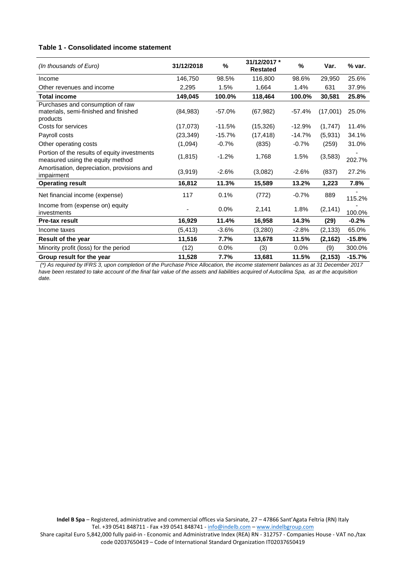#### **Table 1 - Consolidated income statement**

| (In thousands of Euro)                                                                | 31/12/2018 | %        | 31/12/2017 *<br><b>Restated</b> | %        | Var.     | % var.   |
|---------------------------------------------------------------------------------------|------------|----------|---------------------------------|----------|----------|----------|
| Income                                                                                | 146.750    | 98.5%    | 116,800                         | 98.6%    | 29,950   | 25.6%    |
| Other revenues and income                                                             | 2,295      | 1.5%     | 1,664                           | 1.4%     | 631      | 37.9%    |
| <b>Total income</b>                                                                   | 149,045    | 100.0%   | 118,464                         | 100.0%   | 30,581   | 25.8%    |
| Purchases and consumption of raw<br>materials, semi-finished and finished<br>products | (84, 983)  | $-57.0%$ | (67, 982)                       | $-57.4%$ | (17,001) | 25.0%    |
| Costs for services                                                                    | (17,073)   | $-11.5%$ | (15, 326)                       | $-12.9%$ | (1,747)  | 11.4%    |
| Payroll costs                                                                         | (23, 349)  | $-15.7%$ | (17, 418)                       | $-14.7%$ | (5,931)  | 34.1%    |
| Other operating costs                                                                 | (1,094)    | $-0.7%$  | (835)                           | $-0.7%$  | (259)    | 31.0%    |
| Portion of the results of equity investments<br>measured using the equity method      | (1, 815)   | $-1.2%$  | 1,768                           | 1.5%     | (3, 583) | 202.7%   |
| Amortisation, depreciation, provisions and<br>impairment                              | (3,919)    | $-2.6%$  | (3,082)                         | $-2.6%$  | (837)    | 27.2%    |
| <b>Operating result</b>                                                               | 16,812     | 11.3%    | 15,589                          | 13.2%    | 1,223    | 7.8%     |
| Net financial income (expense)                                                        | 117        | 0.1%     | (772)                           | $-0.7%$  | 889      | 115.2%   |
| Income from (expense on) equity<br>investments                                        |            | 0.0%     | 2,141                           | 1.8%     | (2, 141) | 100.0%   |
| <b>Pre-tax result</b>                                                                 | 16,929     | 11.4%    | 16,958                          | 14.3%    | (29)     | $-0.2%$  |
| Income taxes                                                                          | (5, 413)   | $-3.6%$  | (3,280)                         | $-2.8%$  | (2, 133) | 65.0%    |
| Result of the year                                                                    | 11,516     | 7.7%     | 13,678                          | 11.5%    | (2, 162) | $-15.8%$ |
| Minority profit (loss) for the period                                                 | (12)       | 0.0%     | (3)                             | 0.0%     | (9)      | 300.0%   |
| Group result for the year                                                             | 11,528     | 7.7%     | 13,681                          | 11.5%    | (2, 153) | $-15.7%$ |

*(\*) As required by IFRS 3, upon completion of the Purchase Price Allocation, the income statement balances as at 31 December 2017 have been restated to take account of the final fair value of the assets and liabilities acquired of Autoclima Spa, as at the acquisition date.*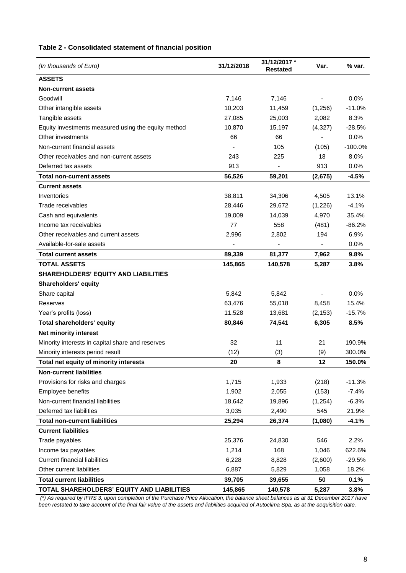# **Table 2 - Consolidated statement of financial position**

| (In thousands of Euro)                              | 31/12/2018 | 31/12/2017 *<br><b>Restated</b> | Var.     | % var.    |
|-----------------------------------------------------|------------|---------------------------------|----------|-----------|
| <b>ASSETS</b>                                       |            |                                 |          |           |
| <b>Non-current assets</b>                           |            |                                 |          |           |
| Goodwill                                            | 7,146      | 7,146                           |          | 0.0%      |
| Other intangible assets                             | 10,203     | 11,459                          | (1,256)  | $-11.0%$  |
| Tangible assets                                     | 27,085     | 25,003                          | 2,082    | 8.3%      |
| Equity investments measured using the equity method | 10,870     | 15,197                          | (4,327)  | $-28.5%$  |
| Other investments                                   | 66         | 66                              |          | 0.0%      |
| Non-current financial assets                        |            | 105                             | (105)    | $-100.0%$ |
| Other receivables and non-current assets            | 243        | 225                             | 18       | 8.0%      |
| Deferred tax assets                                 | 913        |                                 | 913      | 0.0%      |
| <b>Total non-current assets</b>                     | 56,526     | 59,201                          | (2,675)  | $-4.5%$   |
| <b>Current assets</b>                               |            |                                 |          |           |
| Inventories                                         | 38,811     | 34,306                          | 4,505    | 13.1%     |
| Trade receivables                                   | 28,446     | 29,672                          | (1,226)  | $-4.1%$   |
| Cash and equivalents                                | 19,009     | 14,039                          | 4,970    | 35.4%     |
| Income tax receivables                              | 77         | 558                             | (481)    | $-86.2%$  |
| Other receivables and current assets                | 2,996      | 2,802                           | 194      | 6.9%      |
| Available-for-sale assets                           |            |                                 |          | 0.0%      |
| <b>Total current assets</b>                         | 89,339     | 81,377                          | 7,962    | 9.8%      |
| <b>TOTAL ASSETS</b>                                 | 145,865    | 140,578                         | 5,287    | 3.8%      |
| <b>SHAREHOLDERS' EQUITY AND LIABILITIES</b>         |            |                                 |          |           |
| <b>Shareholders' equity</b>                         |            |                                 |          |           |
| Share capital                                       | 5,842      | 5,842                           |          | 0.0%      |
| Reserves                                            | 63,476     | 55,018                          | 8,458    | 15.4%     |
| Year's profits (loss)                               | 11,528     | 13,681                          | (2, 153) | $-15.7%$  |
| <b>Total shareholders' equity</b>                   | 80,846     | 74,541                          | 6,305    | 8.5%      |
| Net minority interest                               |            |                                 |          |           |
| Minority interests in capital share and reserves    | 32         | 11                              | 21       | 190.9%    |
| Minority interests period result                    | (12)       | (3)                             | (9)      | 300.0%    |
| Total net equity of minority interests              | 20         | 8                               | 12       | 150.0%    |
| <b>Non-current liabilities</b>                      |            |                                 |          |           |
| Provisions for risks and charges                    | 1,715      | 1,933                           | (218)    | $-11.3%$  |
| Employee benefits                                   | 1,902      | 2,055                           | (153)    | $-7.4%$   |
| Non-current financial liabilities                   | 18,642     | 19,896                          | (1,254)  | $-6.3%$   |
| Deferred tax liabilities                            | 3,035      | 2,490                           | 545      | 21.9%     |
| <b>Total non-current liabilities</b>                | 25,294     | 26,374                          | (1,080)  | $-4.1%$   |
| <b>Current liabilities</b>                          |            |                                 |          |           |
| Trade payables                                      | 25,376     | 24,830                          | 546      | 2.2%      |
| Income tax payables                                 | 1,214      | 168                             | 1,046    | 622.6%    |
| <b>Current financial liabilities</b>                | 6,228      | 8,828                           | (2,600)  | $-29.5%$  |
| Other current liabilities                           | 6,887      | 5,829                           | 1,058    | 18.2%     |
| <b>Total current liabilities</b>                    | 39,705     | 39,655                          | 50       | 0.1%      |
| TOTAL SHAREHOLDERS' EQUITY AND LIABILITIES          | 145,865    | 140,578                         | 5,287    | 3.8%      |

*(\*) As required by IFRS 3, upon completion of the Purchase Price Allocation, the balance sheet balances as at 31 December 2017 have been restated to take account of the final fair value of the assets and liabilities acquired of Autoclima Spa, as at the acquisition date.*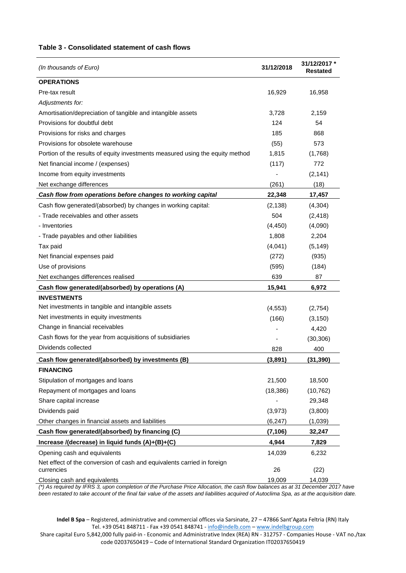#### **Table 3 - Consolidated statement of cash flows**

| (In thousands of Euro)                                                        | 31/12/2018 | 31/12/2017 *<br>Restated |
|-------------------------------------------------------------------------------|------------|--------------------------|
| <b>OPERATIONS</b>                                                             |            |                          |
| Pre-tax result                                                                | 16,929     | 16,958                   |
| Adjustments for:                                                              |            |                          |
| Amortisation/depreciation of tangible and intangible assets                   | 3,728      | 2,159                    |
| Provisions for doubtful debt                                                  | 124        | 54                       |
| Provisions for risks and charges                                              | 185        | 868                      |
| Provisions for obsolete warehouse                                             | (55)       | 573                      |
| Portion of the results of equity investments measured using the equity method | 1,815      | (1,768)                  |
| Net financial income / (expenses)                                             | (117)      | 772                      |
| Income from equity investments                                                |            | (2, 141)                 |
| Net exchange differences                                                      | (261)      | (18)                     |
| Cash flow from operations before changes to working capital                   | 22,348     | 17,457                   |
| Cash flow generated/(absorbed) by changes in working capital:                 | (2, 138)   | (4,304)                  |
| - Trade receivables and other assets                                          | 504        | (2, 418)                 |
| - Inventories                                                                 | (4, 450)   | (4,090)                  |
| - Trade payables and other liabilities                                        | 1,808      | 2,204                    |
| Tax paid                                                                      | (4,041)    | (5, 149)                 |
| Net financial expenses paid                                                   | (272)      | (935)                    |
| Use of provisions                                                             | (595)      | (184)                    |
| Net exchanges differences realised                                            | 639        | 87                       |
| Cash flow generated/(absorbed) by operations (A)                              | 15,941     | 6,972                    |
| <b>INVESTMENTS</b>                                                            |            |                          |
| Net investments in tangible and intangible assets                             | (4, 553)   | (2,754)                  |
| Net investments in equity investments                                         | (166)      | (3, 150)                 |
| Change in financial receivables                                               |            | 4,420                    |
| Cash flows for the year from acquisitions of subsidiaries                     |            | (30, 306)                |
| Dividends collected                                                           | 828        | 400                      |
| Cash flow generated/(absorbed) by investments (B)                             | (3,891)    | (31, 390)                |
| <b>FINANCING</b>                                                              |            |                          |
| Stipulation of mortgages and loans                                            | 21,500     | 18,500                   |
| Repayment of mortgages and loans                                              | (18, 386)  | (10, 762)                |
| Share capital increase                                                        |            | 29,348                   |
| Dividends paid                                                                | (3,973)    | (3,800)                  |
| Other changes in financial assets and liabilities                             | (6, 247)   | (1,039)                  |
| Cash flow generated/(absorbed) by financing (C)                               | (7, 106)   | 32,247                   |
| Increase /(decrease) in liquid funds (A)+(B)+(C)                              | 4,944      | 7,829                    |
| Opening cash and equivalents                                                  | 14,039     | 6,232                    |
| Net effect of the conversion of cash and equivalents carried in foreign       |            |                          |
| currencies                                                                    | 26         | (22)                     |
| Closing cash and equivalents                                                  | 19,009     | 14,039                   |

*(\*) As required by IFRS 3, upon completion of the Purchase Price Allocation, the cash flow balances as at 31 December 2017 have been restated to take account of the final fair value of the assets and liabilities acquired of Autoclima Spa, as at the acquisition date.* 

**Indel B Spa** – Registered, administrative and commercial offices via Sarsinate, 27 – 47866 Sant'Agata Feltria (RN) Italy Tel. +39 0541 848711 - Fax +39 0541 848741 - [info@indelb.com](mailto:info@indelb.com) – [www.indelbgroup.com](http://www.indelbgroup.com/)

Share capital Euro 5,842,000 fully paid-in - Economic and Administrative Index (REA) RN - 312757 - Companies House - VAT no./tax code 02037650419 – Code of International Standard Organization IT02037650419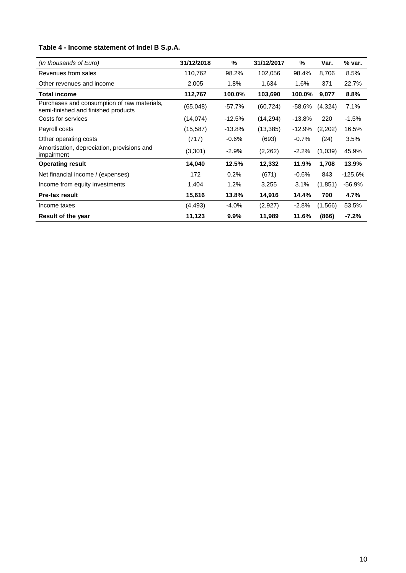# **Table 4 - Income statement of Indel B S.p.A.**

| (In thousands of Euro)                                                             | 31/12/2018 | %        | 31/12/2017 | %        | Var.     | % var.    |
|------------------------------------------------------------------------------------|------------|----------|------------|----------|----------|-----------|
| Revenues from sales                                                                | 110,762    | 98.2%    | 102,056    | 98.4%    | 8,706    | 8.5%      |
| Other revenues and income                                                          | 2,005      | 1.8%     | 1,634      | 1.6%     | 371      | 22.7%     |
| <b>Total income</b>                                                                | 112,767    | 100.0%   | 103,690    | 100.0%   | 9,077    | 8.8%      |
| Purchases and consumption of raw materials,<br>semi-finished and finished products | (65,048)   | $-57.7%$ | (60, 724)  | -58.6%   | (4,324)  | 7.1%      |
| Costs for services                                                                 | (14, 074)  | $-12.5%$ | (14, 294)  | $-13.8%$ | 220      | $-1.5%$   |
| Payroll costs                                                                      | (15, 587)  | $-13.8%$ | (13, 385)  | -12.9%   | (2,202)  | 16.5%     |
| Other operating costs                                                              | (717)      | $-0.6%$  | (693)      | $-0.7%$  | (24)     | 3.5%      |
| Amortisation, depreciation, provisions and<br>impairment                           | (3,301)    | $-2.9%$  | (2,262)    | $-2.2%$  | (1,039)  | 45.9%     |
| <b>Operating result</b>                                                            | 14,040     | 12.5%    | 12,332     | 11.9%    | 1,708    | 13.9%     |
| Net financial income / (expenses)                                                  | 172        | 0.2%     | (671)      | $-0.6%$  | 843      | $-125.6%$ |
| Income from equity investments                                                     | 1,404      | $1.2\%$  | 3,255      | 3.1%     | (1, 851) | -56.9%    |
| <b>Pre-tax result</b>                                                              | 15,616     | 13.8%    | 14,916     | 14.4%    | 700      | 4.7%      |
| Income taxes                                                                       | (4, 493)   | $-4.0\%$ | (2,927)    | $-2.8%$  | (1,566)  | 53.5%     |
| <b>Result of the year</b>                                                          | 11,123     | 9.9%     | 11,989     | 11.6%    | (866)    | $-7.2\%$  |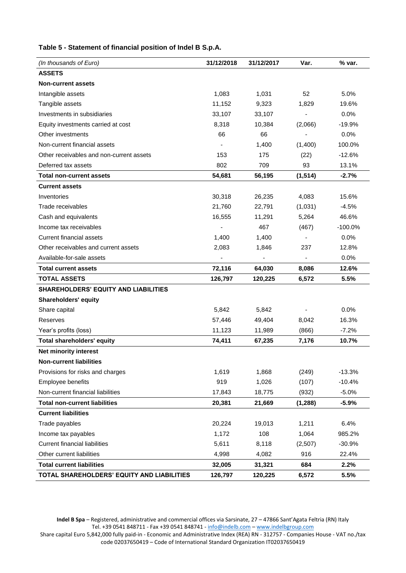| (In thousands of Euro)                      | 31/12/2018 | 31/12/2017               | Var.           | % var.   |
|---------------------------------------------|------------|--------------------------|----------------|----------|
| <b>ASSETS</b>                               |            |                          |                |          |
| <b>Non-current assets</b>                   |            |                          |                |          |
| Intangible assets                           | 1,083      | 1,031                    | 52             | 5.0%     |
| Tangible assets                             | 11,152     | 9,323                    | 1,829          | 19.6%    |
| Investments in subsidiaries                 | 33,107     | 33,107                   |                | 0.0%     |
| Equity investments carried at cost          | 8,318      | 10,384                   | (2,066)        | $-19.9%$ |
| Other investments                           | 66         | 66                       |                | 0.0%     |
| Non-current financial assets                |            | 1,400                    | (1,400)        | 100.0%   |
| Other receivables and non-current assets    | 153        | 175                      | (22)           | $-12.6%$ |
| Deferred tax assets                         | 802        | 709                      | 93             | 13.1%    |
| <b>Total non-current assets</b>             | 54,681     | 56,195                   | (1, 514)       | $-2.7%$  |
| <b>Current assets</b>                       |            |                          |                |          |
| Inventories                                 | 30,318     | 26,235                   | 4.083          | 15.6%    |
| Trade receivables                           | 21.760     | 22,791                   | (1,031)        | $-4.5%$  |
| Cash and equivalents                        | 16,555     | 11,291                   | 5,264          | 46.6%    |
| Income tax receivables                      |            | 467                      | (467)          | -100.0%  |
| Current financial assets                    | 1,400      | 1,400                    |                | $0.0\%$  |
| Other receivables and current assets        | 2,083      | 1,846                    | 237            | 12.8%    |
| Available-for-sale assets                   |            | $\overline{\phantom{a}}$ | $\blacksquare$ | 0.0%     |
| <b>Total current assets</b>                 | 72,116     | 64,030                   | 8,086          | 12.6%    |
| <b>TOTAL ASSETS</b>                         | 126,797    | 120,225                  | 6,572          | 5.5%     |
| <b>SHAREHOLDERS' EQUITY AND LIABILITIES</b> |            |                          |                |          |
| <b>Shareholders' equity</b>                 |            |                          |                |          |
| Share capital                               | 5,842      | 5,842                    |                | 0.0%     |
| Reserves                                    | 57,446     | 49,404                   | 8,042          | 16.3%    |
| Year's profits (loss)                       | 11,123     | 11,989                   | (866)          | $-7.2%$  |
| <b>Total shareholders' equity</b>           | 74,411     | 67,235                   | 7,176          | 10.7%    |
| Net minority interest                       |            |                          |                |          |
| <b>Non-current liabilities</b>              |            |                          |                |          |
| Provisions for risks and charges            | 1,619      | 1,868                    | (249)          | $-13.3%$ |
| Employee benefits                           | 919        | 1,026                    | (107)          | $-10.4%$ |
| Non-current financial liabilities           | 17,843     | 18,775                   | (932)          | $-5.0%$  |
| <b>Total non-current liabilities</b>        | 20,381     | 21,669                   | (1, 288)       | $-5.9\%$ |
| <b>Current liabilities</b>                  |            |                          |                |          |
| Trade payables                              | 20,224     | 19,013                   | 1,211          | 6.4%     |
| Income tax payables                         | 1,172      | 108                      | 1,064          | 985.2%   |
| <b>Current financial liabilities</b>        | 5,611      | 8,118                    | (2,507)        | $-30.9%$ |
| Other current liabilities                   | 4,998      | 4,082                    | 916            | 22.4%    |
| <b>Total current liabilities</b>            | 32,005     | 31,321                   | 684            | 2.2%     |
| TOTAL SHAREHOLDERS' EQUITY AND LIABILITIES  | 126,797    | 120,225                  | 6,572          | 5.5%     |

**Table 5 - Statement of financial position of Indel B S.p.A.** 

**Indel B Spa** – Registered, administrative and commercial offices via Sarsinate, 27 – 47866 Sant'Agata Feltria (RN) Italy Tel. +39 0541 848711 - Fax +39 0541 848741 - [info@indelb.com](mailto:info@indelb.com) – [www.indelbgroup.com](http://www.indelbgroup.com/) Share capital Euro 5,842,000 fully paid-in - Economic and Administrative Index (REA) RN - 312757 - Companies House - VAT no./tax code 02037650419 – Code of International Standard Organization IT02037650419